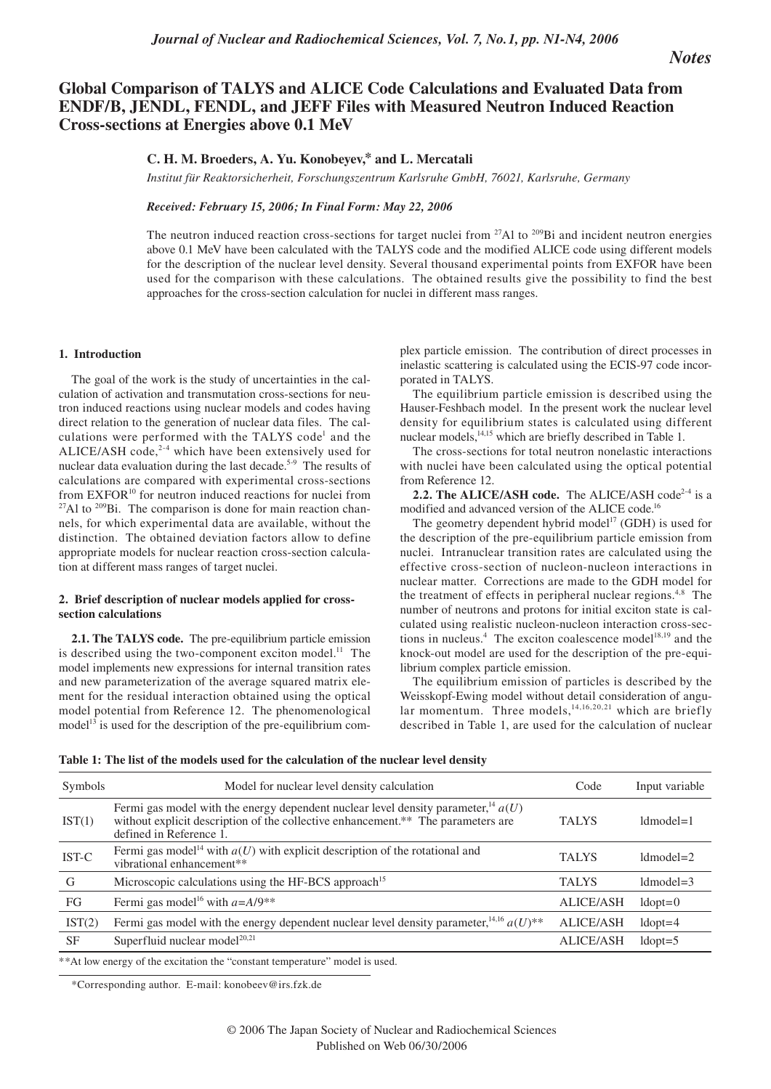*Notes*

# **Global Comparison of TALYS and ALICE Code Calculations and Evaluated Data from ENDF/B, JENDL, FENDL, and JEFF Files with Measured Neutron Induced Reaction Cross-sections at Energies above 0.1 MeV**

## **C. H. M. Broeders, A. Yu. Konobeyev,\* and L. Mercatali**

*Institut für Reaktorsicherheit, Forschungszentrum Karlsruhe GmbH, 76021, Karlsruhe, Germany*

## *Received: February 15, 2006; In Final Form: May 22, 2006*

The neutron induced reaction cross-sections for target nuclei from <sup>27</sup>Al to <sup>209</sup>Bi and incident neutron energies above 0.1 MeV have been calculated with the TALYS code and the modified ALICE code using different models for the description of the nuclear level density. Several thousand experimental points from EXFOR have been used for the comparison with these calculations. The obtained results give the possibility to find the best approaches for the cross-section calculation for nuclei in different mass ranges.

#### **1. Introduction**

The goal of the work is the study of uncertainties in the calculation of activation and transmutation cross-sections for neutron induced reactions using nuclear models and codes having direct relation to the generation of nuclear data files. The calculations were performed with the TALYS code<sup>1</sup> and the ALICE/ASH code,<sup>2-4</sup> which have been extensively used for nuclear data evaluation during the last decade.<sup>5-9</sup> The results of calculations are compared with experimental cross-sections from EXFOR<sup>10</sup> for neutron induced reactions for nuclei from  $^{27}$ Al to  $^{209}$ Bi. The comparison is done for main reaction channels, for which experimental data are available, without the distinction. The obtained deviation factors allow to define appropriate models for nuclear reaction cross-section calculation at different mass ranges of target nuclei.

## **2. Brief description of nuclear models applied for crosssection calculations**

**2.1. The TALYS code.** The pre-equilibrium particle emission is described using the two-component exciton model.<sup>11</sup> The model implements new expressions for internal transition rates and new parameterization of the average squared matrix element for the residual interaction obtained using the optical model potential from Reference 12. The phenomenological model<sup>13</sup> is used for the description of the pre-equilibrium complex particle emission. The contribution of direct processes in inelastic scattering is calculated using the ECIS-97 code incorporated in TALYS.

The equilibrium particle emission is described using the Hauser-Feshbach model. In the present work the nuclear level density for equilibrium states is calculated using different nuclear models,<sup>14,15</sup> which are briefly described in Table 1.

The cross-sections for total neutron nonelastic interactions with nuclei have been calculated using the optical potential from Reference 12.

**2.2. The ALICE/ASH code.** The ALICE/ASH code<sup>2-4</sup> is a modified and advanced version of the ALICE code.<sup>16</sup>

The geometry dependent hybrid model<sup>17</sup> (GDH) is used for the description of the pre-equilibrium particle emission from nuclei. Intranuclear transition rates are calculated using the effective cross-section of nucleon-nucleon interactions in nuclear matter. Corrections are made to the GDH model for the treatment of effects in peripheral nuclear regions.<sup>4,8</sup> The number of neutrons and protons for initial exciton state is calculated using realistic nucleon-nucleon interaction cross-sections in nucleus.<sup>4</sup> The exciton coalescence model<sup>18,19</sup> and the knock-out model are used for the description of the pre-equilibrium complex particle emission.

The equilibrium emission of particles is described by the Weisskopf-Ewing model without detail consideration of angular momentum. Three models,  $14,16,20,21$  which are briefly described in Table 1, are used for the calculation of nuclear

|  |  |  |  | Table 1: The list of the models used for the calculation of the nuclear level density |  |  |  |  |
|--|--|--|--|---------------------------------------------------------------------------------------|--|--|--|--|
|--|--|--|--|---------------------------------------------------------------------------------------|--|--|--|--|

| Symbols   | Model for nuclear level density calculation                                                                                                                                                                    | Code             | Input variable |
|-----------|----------------------------------------------------------------------------------------------------------------------------------------------------------------------------------------------------------------|------------------|----------------|
| IST(1)    | Fermi gas model with the energy dependent nuclear level density parameter, <sup>14</sup> $a(U)$<br>without explicit description of the collective enhancement.** The parameters are<br>defined in Reference 1. | <b>TALYS</b>     | $ld model = 1$ |
| IST-C     | Fermi gas model <sup>14</sup> with $a(U)$ with explicit description of the rotational and<br>vibrational enhancement**                                                                                         | <b>TALYS</b>     | $ld model = 2$ |
| G         | Microscopic calculations using the HF-BCS approach <sup>15</sup>                                                                                                                                               | <b>TALYS</b>     | $ld model = 3$ |
| FG        | Fermi gas model <sup>16</sup> with $a=A/9$ <sup>**</sup>                                                                                                                                                       | <b>ALICE/ASH</b> | $ldopt=0$      |
| IST(2)    | Fermi gas model with the energy dependent nuclear level density parameter, $^{14,16}$ a(U)**                                                                                                                   | <b>ALICE/ASH</b> | $ldopt=4$      |
| <b>SF</b> | Superfluid nuclear model <sup>20,21</sup>                                                                                                                                                                      | <b>ALICE/ASH</b> | $ldopt=5$      |

\*\*At low energy of the excitation the "constant temperature" model is used.

\*Corresponding author. E-mail: konobeev@irs.fzk.de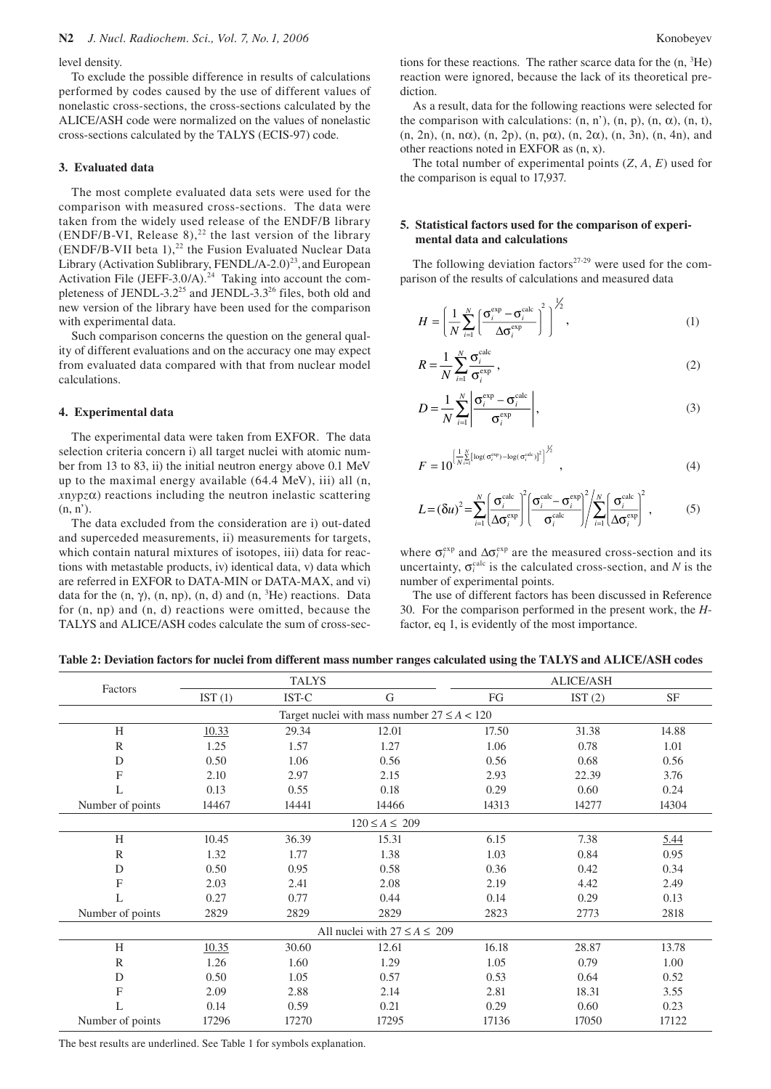level density.

To exclude the possible difference in results of calculations performed by codes caused by the use of different values of nonelastic cross-sections, the cross-sections calculated by the ALICE/ASH code were normalized on the values of nonelastic cross-sections calculated by the TALYS (ECIS-97) code.

## **3. Evaluated data**

The most complete evaluated data sets were used for the comparison with measured cross-sections. The data were taken from the widely used release of the ENDF/B library (ENDF/B-VI, Release 8),<sup>22</sup> the last version of the library  $(ENDF/B-VII)$  beta 1),<sup>22</sup> the Fusion Evaluated Nuclear Data Library (Activation Sublibrary, FENDL/A-2.0)<sup>23</sup>, and European Activation File (JEFF-3.0/A).<sup>24</sup> Taking into account the completeness of JENDL-3.2<sup>25</sup> and JENDL-3.3<sup>26</sup> files, both old and new version of the library have been used for the comparison with experimental data.

Such comparison concerns the question on the general quality of different evaluations and on the accuracy one may expect from evaluated data compared with that from nuclear model calculations.

#### **4. Experimental data**

The experimental data were taken from EXFOR. The data selection criteria concern i) all target nuclei with atomic number from 13 to 83, ii) the initial neutron energy above 0.1 MeV up to the maximal energy available (64.4 MeV), iii) all (n,  $xnypz\alpha$ ) reactions including the neutron inelastic scattering  $(n, n')$ .

The data excluded from the consideration are i) out-dated and superceded measurements, ii) measurements for targets, which contain natural mixtures of isotopes, iii) data for reactions with metastable products, iv) identical data, v) data which are referred in EXFOR to DATA-MIN or DATA-MAX, and vi) data for the  $(n, \gamma)$ ,  $(n, np)$ ,  $(n, d)$  and  $(n, {}^{3}He)$  reactions. Data for (n, np) and (n, d) reactions were omitted, because the TALYS and ALICE/ASH codes calculate the sum of cross-sec-

tions for these reactions. The rather scarce data for the  $(n, {}^{3}He)$ reaction were ignored, because the lack of its theoretical prediction.

As a result, data for the following reactions were selected for the comparison with calculations:  $(n, n')$ ,  $(n, p)$ ,  $(n, \alpha)$ ,  $(n, t)$ , (n, 2n), (n, nα), (n, 2p), (n, pα), (n, 2α), (n, 3n), (n, 4n), and other reactions noted in EXFOR as (n, x).

The total number of experimental points (*Z*, *A*, *E*) used for the comparison is equal to 17,937.

## **5. Statistical factors used for the comparison of experimental data and calculations**

The following deviation factors<sup> $27-29$ </sup> were used for the comparison of the results of calculations and measured data

$$
H = \left(\frac{1}{N} \sum_{i=1}^{N} \left(\frac{\sigma_i^{\text{exp}} - \sigma_i^{\text{calc}}}{\Delta \sigma_i^{\text{exp}}}\right)^2\right)^{\frac{1}{2}},\tag{1}
$$

$$
R = \frac{1}{N} \sum_{i=1}^{N} \frac{\sigma_i^{\text{calc}}}{\sigma_i^{\text{exp}}},
$$
 (2)

$$
D = \frac{1}{N} \sum_{i=1}^{N} \left| \frac{\sigma_i^{\text{exp}} - \sigma_i^{\text{calc}}}{\sigma_i^{\text{exp}}} \right|,
$$
 (3)

$$
F = 10^{\left[\frac{1}{N} \sum\limits_{i=1}^{N} \left[\log(\sigma_i^{\text{euc}}) - \log(\sigma_i^{\text{euc}})\right]^2\right]^{1/2}}, \qquad (4)
$$

$$
L = (\delta u)^2 = \sum_{i=1}^{N} \left( \frac{\sigma_i^{\text{calc}}}{\Delta \sigma_i^{\text{exp}}} \right)^2 \left( \frac{\sigma_i^{\text{calc}} - \sigma_i^{\text{exp}}}{\sigma_i^{\text{calc}}} \right)^2 / \sum_{i=1}^{N} \left( \frac{\sigma_i^{\text{calc}}}{\Delta \sigma_i^{\text{exp}}} \right)^2, \tag{5}
$$

where  $\sigma_i^{\text{exp}}$  and  $\Delta \sigma_i^{\text{exp}}$  are the measured cross-section and its uncertainty,  $\sigma_i^{\text{calc}}$  is the calculated cross-section, and *N* is the number of experimental points.

The use of different factors has been discussed in Reference 30. For the comparison performed in the present work, the *H*factor, eq 1, is evidently of the most importance.

**Table 2: Deviation factors for nuclei from different mass number ranges calculated using the TALYS and ALICE/ASH codes** 

|                                                  | <b>TALYS</b> |       |       |       | <b>ALICE/ASH</b> |           |  |  |
|--------------------------------------------------|--------------|-------|-------|-------|------------------|-----------|--|--|
| Factors                                          | IST $(1)$    | IST-C | G     | FG    | IST $(2)$        | <b>SF</b> |  |  |
| Target nuclei with mass number $27 \leq A < 120$ |              |       |       |       |                  |           |  |  |
| H                                                | 10.33        | 29.34 | 12.01 | 17.50 | 31.38            | 14.88     |  |  |
| $\mathbb{R}$                                     | 1.25         | 1.57  | 1.27  | 1.06  | 0.78             | 1.01      |  |  |
| D                                                | 0.50         | 1.06  | 0.56  | 0.56  | 0.68             | 0.56      |  |  |
| F                                                | 2.10         | 2.97  | 2.15  | 2.93  | 22.39            | 3.76      |  |  |
| L                                                | 0.13         | 0.55  | 0.18  | 0.29  | 0.60             | 0.24      |  |  |
| Number of points                                 | 14467        | 14441 | 14466 | 14313 | 14277            | 14304     |  |  |
| $120 \le A \le 209$                              |              |       |       |       |                  |           |  |  |
| H                                                | 10.45        | 36.39 | 15.31 | 6.15  | 7.38             | 5.44      |  |  |
| $\mathbb{R}$                                     | 1.32         | 1.77  | 1.38  | 1.03  | 0.84             | 0.95      |  |  |
| D                                                | 0.50         | 0.95  | 0.58  | 0.36  | 0.42             | 0.34      |  |  |
| F                                                | 2.03         | 2.41  | 2.08  | 2.19  | 4.42             | 2.49      |  |  |
| L                                                | 0.27         | 0.77  | 0.44  | 0.14  | 0.29             | 0.13      |  |  |
| Number of points                                 | 2829         | 2829  | 2829  | 2823  | 2773             | 2818      |  |  |
| All nuclei with $27 \le A \le 209$               |              |       |       |       |                  |           |  |  |
| H                                                | 10.35        | 30.60 | 12.61 | 16.18 | 28.87            | 13.78     |  |  |
| $\mathbb{R}$                                     | 1.26         | 1.60  | 1.29  | 1.05  | 0.79             | 1.00      |  |  |
| D                                                | 0.50         | 1.05  | 0.57  | 0.53  | 0.64             | 0.52      |  |  |
| F                                                | 2.09         | 2.88  | 2.14  | 2.81  | 18.31            | 3.55      |  |  |
| L                                                | 0.14         | 0.59  | 0.21  | 0.29  | 0.60             | 0.23      |  |  |
| Number of points                                 | 17296        | 17270 | 17295 | 17136 | 17050            | 17122     |  |  |

The best results are underlined. See Table 1 for symbols explanation.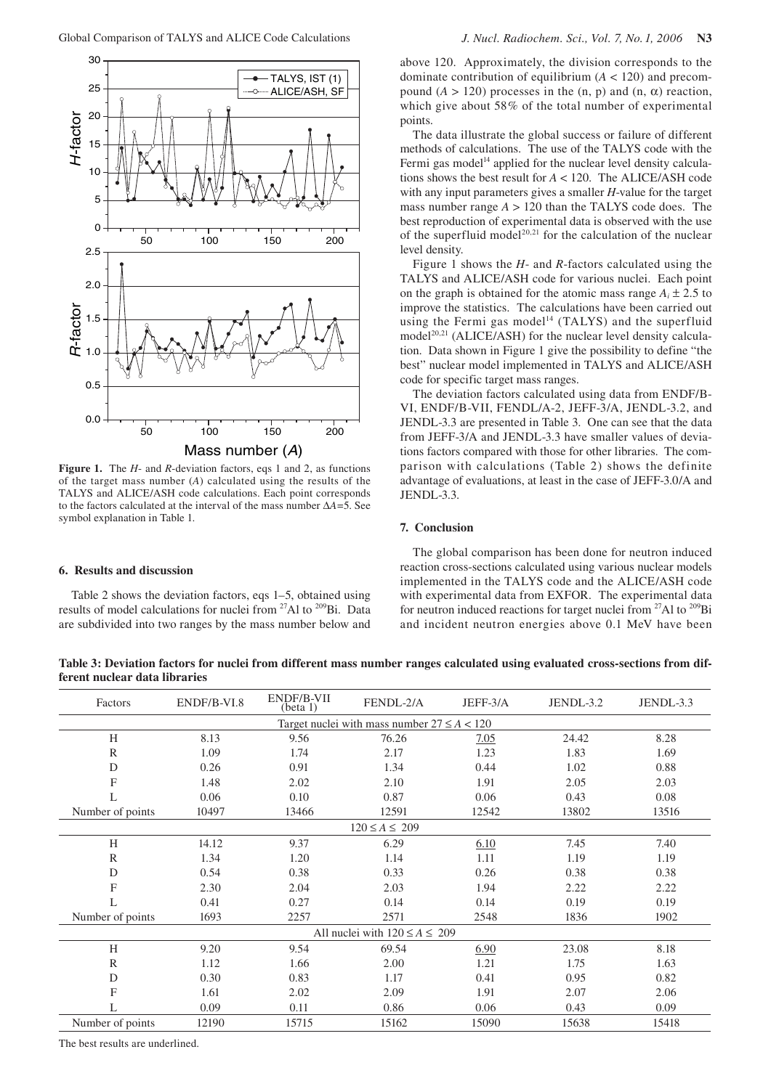

**Figure 1.** The *H*- and *R*-deviation factors, eqs 1 and 2, as functions of the target mass number (*A*) calculated using the results of the TALYS and ALICE/ASH code calculations. Each point corresponds to the factors calculated at the interval of the mass number ∆*A*=5. See symbol explanation in Table 1.

## **6. Results and discussion**

Table 2 shows the deviation factors, eqs 1–5, obtained using results of model calculations for nuclei from 27Al to 209Bi. Data are subdivided into two ranges by the mass number below and

above 120. Approximately, the division corresponds to the dominate contribution of equilibrium  $(A < 120)$  and precompound  $(A > 120)$  processes in the  $(n, p)$  and  $(n, \alpha)$  reaction, which give about 58% of the total number of experimental points.

The data illustrate the global success or failure of different methods of calculations. The use of the TALYS code with the Fermi gas model<sup>14</sup> applied for the nuclear level density calculations shows the best result for *A* < 120. The ALICE/ASH code with any input parameters gives a smaller *H*-value for the target mass number range *A* > 120 than the TALYS code does. The best reproduction of experimental data is observed with the use of the superfluid model<sup>20,21</sup> for the calculation of the nuclear level density.

Figure 1 shows the *H*- and *R*-factors calculated using the TALYS and ALICE/ASH code for various nuclei. Each point on the graph is obtained for the atomic mass range  $A_i \pm 2.5$  to improve the statistics. The calculations have been carried out using the Fermi gas model<sup>14</sup> (TALYS) and the superfluid  $model<sup>20,21</sup> (ALICE/ASH)$  for the nuclear level density calculation. Data shown in Figure 1 give the possibility to define "the best" nuclear model implemented in TALYS and ALICE/ASH code for specific target mass ranges.

The deviation factors calculated using data from ENDF/B-VI, ENDF/B-VII, FENDL/A-2, JEFF-3/A, JENDL-3.2, and JENDL-3.3 are presented in Table 3. One can see that the data from JEFF-3/A and JENDL-3.3 have smaller values of deviations factors compared with those for other libraries. The comparison with calculations (Table 2) shows the definite advantage of evaluations, at least in the case of JEFF-3.0/A and JENDL-3.3.

## **7. Conclusion**

The global comparison has been done for neutron induced reaction cross-sections calculated using various nuclear models implemented in the TALYS code and the ALICE/ASH code with experimental data from EXFOR. The experimental data for neutron induced reactions for target nuclei from  $27$ Al to  $209$ Bi and incident neutron energies above 0.1 MeV have been

**Table 3: Deviation factors for nuclei from different mass number ranges calculated using evaluated cross-sections from different nuclear data libraries** 

| Factors                                          | ENDF/B-VI.8 | ENDF/B-VII<br>(beta 1) | FENDL-2/A | JEFF-3/A | JENDL-3.2 | JENDL-3.3 |  |  |  |
|--------------------------------------------------|-------------|------------------------|-----------|----------|-----------|-----------|--|--|--|
| Target nuclei with mass number $27 \leq A < 120$ |             |                        |           |          |           |           |  |  |  |
| H                                                | 8.13        | 9.56                   | 76.26     | 7.05     | 24.42     | 8.28      |  |  |  |
| $\mathbb{R}$                                     | 1.09        | 1.74                   | 2.17      | 1.23     | 1.83      | 1.69      |  |  |  |
| D                                                | 0.26        | 0.91                   | 1.34      | 0.44     | 1.02      | 0.88      |  |  |  |
| F                                                | 1.48        | 2.02                   | 2.10      | 1.91     | 2.05      | 2.03      |  |  |  |
| L                                                | 0.06        | 0.10                   | 0.87      | 0.06     | 0.43      | 0.08      |  |  |  |
| Number of points                                 | 10497       | 13466                  | 12591     | 12542    | 13802     | 13516     |  |  |  |
| $120 \le A \le 209$                              |             |                        |           |          |           |           |  |  |  |
| H                                                | 14.12       | 9.37                   | 6.29      | 6.10     | 7.45      | 7.40      |  |  |  |
| $\mathbb{R}$                                     | 1.34        | 1.20                   | 1.14      | 1.11     | 1.19      | 1.19      |  |  |  |
| D                                                | 0.54        | 0.38                   | 0.33      | 0.26     | 0.38      | 0.38      |  |  |  |
| F                                                | 2.30        | 2.04                   | 2.03      | 1.94     | 2.22      | 2.22      |  |  |  |
| L                                                | 0.41        | 0.27                   | 0.14      | 0.14     | 0.19      | 0.19      |  |  |  |
| Number of points                                 | 1693        | 2257                   | 2571      | 2548     | 1836      | 1902      |  |  |  |
| All nuclei with $120 \le A \le 209$              |             |                        |           |          |           |           |  |  |  |
| H                                                | 9.20        | 9.54                   | 69.54     | 6.90     | 23.08     | 8.18      |  |  |  |
| $\mathbb{R}$                                     | 1.12        | 1.66                   | 2.00      | 1.21     | 1.75      | 1.63      |  |  |  |
| D                                                | 0.30        | 0.83                   | 1.17      | 0.41     | 0.95      | 0.82      |  |  |  |
| F                                                | 1.61        | 2.02                   | 2.09      | 1.91     | 2.07      | 2.06      |  |  |  |
| L                                                | 0.09        | 0.11                   | 0.86      | 0.06     | 0.43      | 0.09      |  |  |  |
| Number of points                                 | 12190       | 15715                  | 15162     | 15090    | 15638     | 15418     |  |  |  |

The best results are underlined.